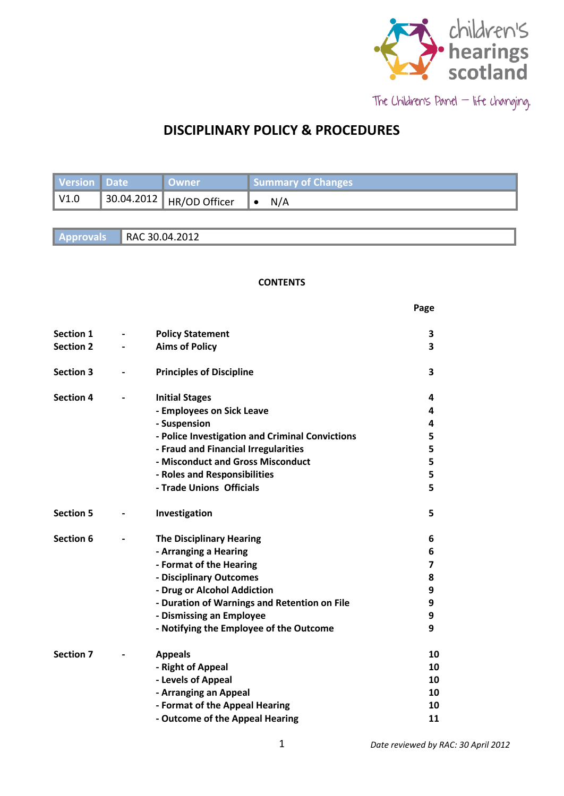

The Children's Panel - life changing.

 **Page**

# **DISCIPLINARY POLICY & PROCEDURES**

| Version Date | ∣ Owner                    | Summary of Changes |
|--------------|----------------------------|--------------------|
| $\vert$ V1.0 | 30.04.2012   HR/OD Officer | N/A                |

**Approvals** RAC 30.04.2012

#### **CONTENTS**

| Section 1        | <b>Policy Statement</b>                         | 3  |
|------------------|-------------------------------------------------|----|
| <b>Section 2</b> | <b>Aims of Policy</b>                           | 3  |
| <b>Section 3</b> | <b>Principles of Discipline</b>                 | 3  |
| <b>Section 4</b> | <b>Initial Stages</b>                           | 4  |
|                  | - Employees on Sick Leave                       | 4  |
|                  | - Suspension                                    | 4  |
|                  | - Police Investigation and Criminal Convictions | 5  |
|                  | - Fraud and Financial Irregularities            | 5  |
|                  | - Misconduct and Gross Misconduct               | 5  |
|                  | - Roles and Responsibilities                    | 5  |
|                  | - Trade Unions Officials                        | 5  |
| <b>Section 5</b> | Investigation                                   | 5  |
| Section 6        | <b>The Disciplinary Hearing</b>                 | 6  |
|                  | - Arranging a Hearing                           | 6  |
|                  | - Format of the Hearing                         | 7  |
|                  | - Disciplinary Outcomes                         | 8  |
|                  | - Drug or Alcohol Addiction                     | 9  |
|                  | - Duration of Warnings and Retention on File    | 9  |
|                  | - Dismissing an Employee                        | 9  |
|                  | - Notifying the Employee of the Outcome         | 9  |
| <b>Section 7</b> | <b>Appeals</b>                                  | 10 |
|                  | - Right of Appeal                               | 10 |
|                  | - Levels of Appeal                              | 10 |
|                  | - Arranging an Appeal                           | 10 |
|                  | - Format of the Appeal Hearing                  | 10 |
|                  |                                                 |    |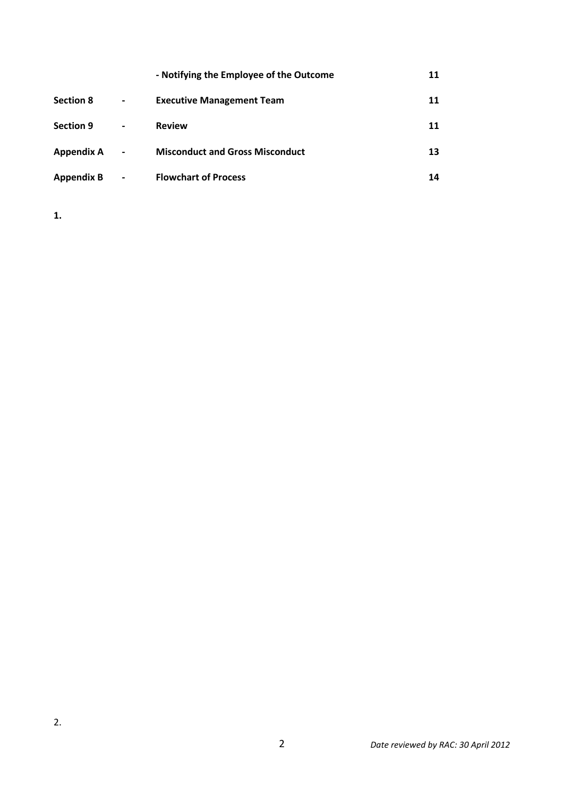|                   |                              | - Notifying the Employee of the Outcome | 11 |
|-------------------|------------------------------|-----------------------------------------|----|
| <b>Section 8</b>  | $\blacksquare$               | <b>Executive Management Team</b>        | 11 |
| <b>Section 9</b>  | -                            | <b>Review</b>                           | 11 |
| <b>Appendix A</b> | $\qquad \qquad \blacksquare$ | <b>Misconduct and Gross Misconduct</b>  | 13 |
| <b>Appendix B</b> | $\overline{\phantom{a}}$     | <b>Flowchart of Process</b>             | 14 |

**1.**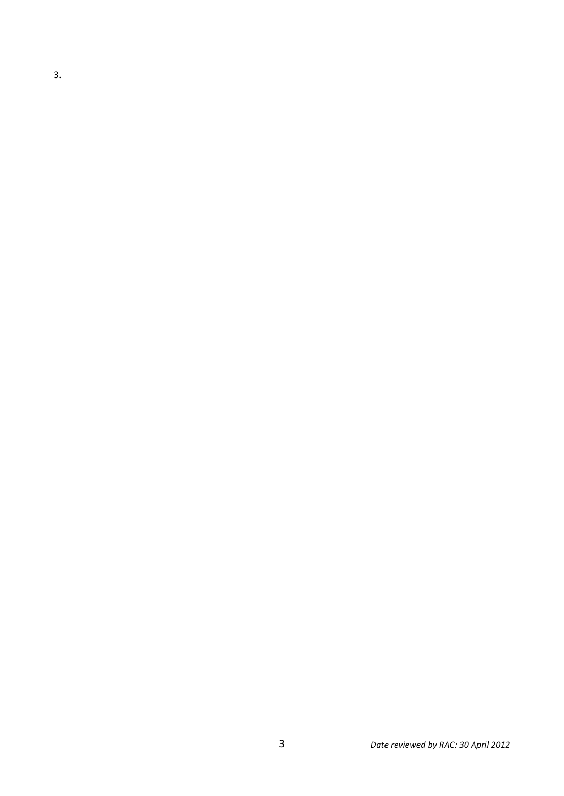3.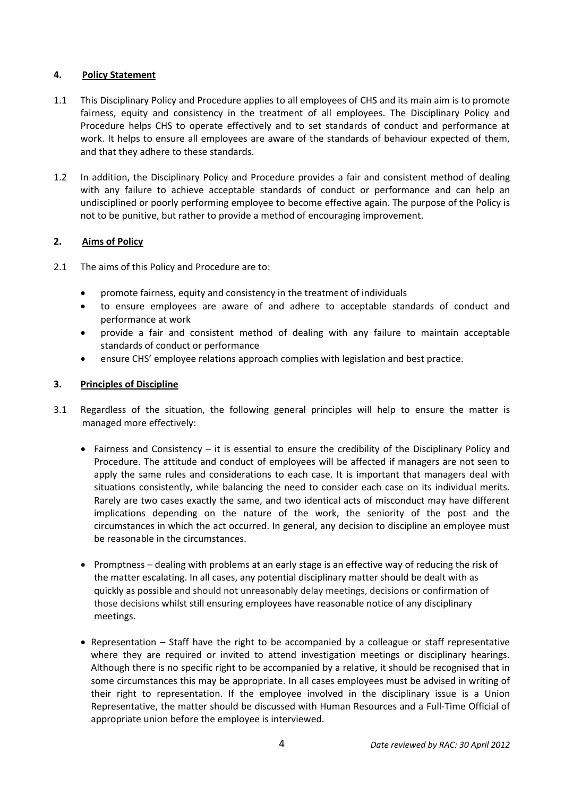# **4. Policy Statement**

- 1.1 This Disciplinary Policy and Procedure applies to all employees of CHS and its main aim is to promote fairness, equity and consistency in the treatment of all employees. The Disciplinary Policy and Procedure helps CHS to operate effectively and to set standards of conduct and performance at work. It helps to ensure all employees are aware of the standards of behaviour expected of them, and that they adhere to these standards.
- 1.2 In addition, the Disciplinary Policy and Procedure provides a fair and consistent method of dealing with any failure to achieve acceptable standards of conduct or performance and can help an undisciplined or poorly performing employee to become effective again. The purpose of the Policy is not to be punitive, but rather to provide a method of encouraging improvement.

# **2. Aims of Policy**

- 2.1 The aims of this Policy and Procedure are to:
	- promote fairness, equity and consistency in the treatment of individuals
	- to ensure employees are aware of and adhere to acceptable standards of conduct and performance at work
	- provide a fair and consistent method of dealing with any failure to maintain acceptable standards of conduct or performance
	- ensure CHS' employee relations approach complies with legislation and best practice.

# **3. Principles of Discipline**

- 3.1 Regardless of the situation, the following general principles will help to ensure the matter is managed more effectively:
	- $\bullet$  Fairness and Consistency it is essential to ensure the credibility of the Disciplinary Policy and Procedure. The attitude and conduct of employees will be affected if managers are not seen to apply the same rules and considerations to each case. It is important that managers deal with situations consistently, while balancing the need to consider each case on its individual merits. Rarely are two cases exactly the same, and two identical acts of misconduct may have different implications depending on the nature of the work, the seniority of the post and the circumstances in which the act occurred. In general, any decision to discipline an employee must be reasonable in the circumstances.
	- Promptness dealing with problems at an early stage is an effective way of reducing the risk of the matter escalating. In all cases, any potential disciplinary matter should be dealt with as quickly as possible and should not unreasonably delay meetings, decisions or confirmation of those decisions whilst still ensuring employees have reasonable notice of any disciplinary meetings.
	- Representation Staff have the right to be accompanied by a colleague or staff representative where they are required or invited to attend investigation meetings or disciplinary hearings. Although there is no specific right to be accompanied by a relative, it should be recognised that in some circumstances this may be appropriate. In all cases employees must be advised in writing of their right to representation. If the employee involved in the disciplinary issue is a Union Representative, the matter should be discussed with Human Resources and a Full-Time Official of appropriate union before the employee is interviewed.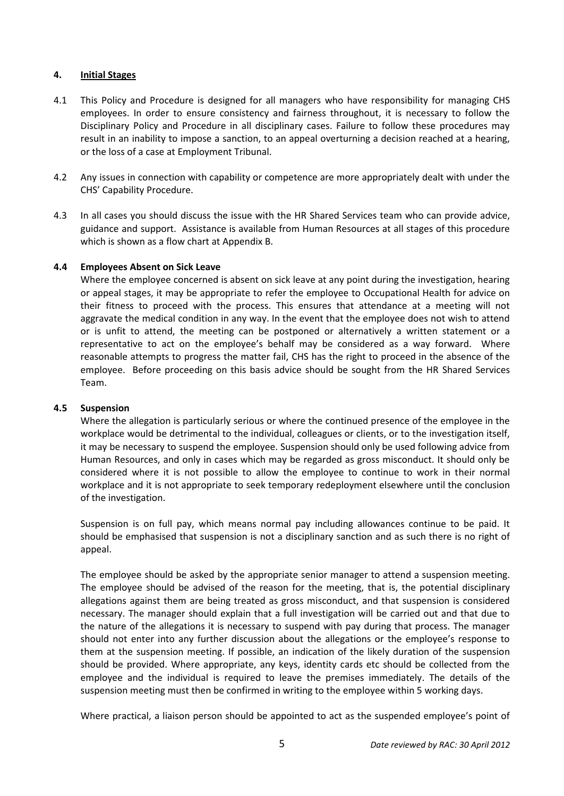## **4. Initial Stages**

- 4.1 This Policy and Procedure is designed for all managers who have responsibility for managing CHS employees. In order to ensure consistency and fairness throughout, it is necessary to follow the Disciplinary Policy and Procedure in all disciplinary cases. Failure to follow these procedures may result in an inability to impose a sanction, to an appeal overturning a decision reached at a hearing, or the loss of a case at Employment Tribunal.
- 4.2 Any issues in connection with capability or competence are more appropriately dealt with under the CHS' Capability Procedure.
- 4.3 In all cases you should discuss the issue with the HR Shared Services team who can provide advice, guidance and support. Assistance is available from Human Resources at all stages of this procedure which is shown as a flow chart at Appendix B.

# **4.4 Employees Absent on Sick Leave**

Where the employee concerned is absent on sick leave at any point during the investigation, hearing or appeal stages, it may be appropriate to refer the employee to Occupational Health for advice on their fitness to proceed with the process. This ensures that attendance at a meeting will not aggravate the medical condition in any way. In the event that the employee does not wish to attend or is unfit to attend, the meeting can be postponed or alternatively a written statement or a representative to act on the employee's behalf may be considered as a way forward. Where reasonable attempts to progress the matter fail, CHS has the right to proceed in the absence of the employee. Before proceeding on this basis advice should be sought from the HR Shared Services Team.

### **4.5 Suspension**

Where the allegation is particularly serious or where the continued presence of the employee in the workplace would be detrimental to the individual, colleagues or clients, or to the investigation itself, it may be necessary to suspend the employee. Suspension should only be used following advice from Human Resources, and only in cases which may be regarded as gross misconduct. It should only be considered where it is not possible to allow the employee to continue to work in their normal workplace and it is not appropriate to seek temporary redeployment elsewhere until the conclusion of the investigation.

Suspension is on full pay, which means normal pay including allowances continue to be paid. It should be emphasised that suspension is not a disciplinary sanction and as such there is no right of appeal.

The employee should be asked by the appropriate senior manager to attend a suspension meeting. The employee should be advised of the reason for the meeting, that is, the potential disciplinary allegations against them are being treated as gross misconduct, and that suspension is considered necessary. The manager should explain that a full investigation will be carried out and that due to the nature of the allegations it is necessary to suspend with pay during that process. The manager should not enter into any further discussion about the allegations or the employee's response to them at the suspension meeting. If possible, an indication of the likely duration of the suspension should be provided. Where appropriate, any keys, identity cards etc should be collected from the employee and the individual is required to leave the premises immediately. The details of the suspension meeting must then be confirmed in writing to the employee within 5 working days.

Where practical, a liaison person should be appointed to act as the suspended employee's point of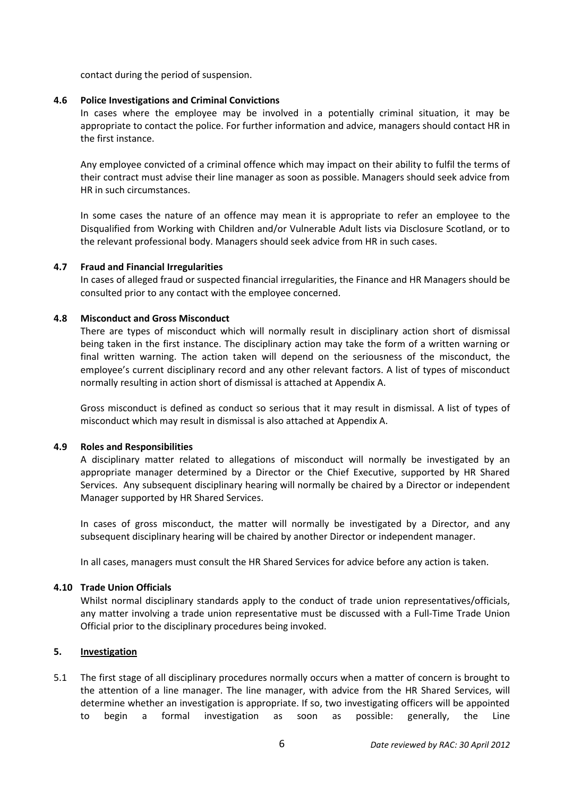contact during the period of suspension.

#### **4.6 Police Investigations and Criminal Convictions**

In cases where the employee may be involved in a potentially criminal situation, it may be appropriate to contact the police. For further information and advice, managers should contact HR in the first instance.

Any employee convicted of a criminal offence which may impact on their ability to fulfil the terms of their contract must advise their line manager as soon as possible. Managers should seek advice from HR in such circumstances.

In some cases the nature of an offence may mean it is appropriate to refer an employee to the Disqualified from Working with Children and/or Vulnerable Adult lists via Disclosure Scotland, or to the relevant professional body. Managers should seek advice from HR in such cases.

#### **4.7 Fraud and Financial Irregularities**

In cases of alleged fraud or suspected financial irregularities, the Finance and HR Managers should be consulted prior to any contact with the employee concerned.

#### **4.8 Misconduct and Gross Misconduct**

There are types of misconduct which will normally result in disciplinary action short of dismissal being taken in the first instance. The disciplinary action may take the form of a written warning or final written warning. The action taken will depend on the seriousness of the misconduct, the employee's current disciplinary record and any other relevant factors. A list of types of misconduct normally resulting in action short of dismissal is attached at Appendix A.

Gross misconduct is defined as conduct so serious that it may result in dismissal. A list of types of misconduct which may result in dismissal is also attached at Appendix A.

### **4.9 Roles and Responsibilities**

A disciplinary matter related to allegations of misconduct will normally be investigated by an appropriate manager determined by a Director or the Chief Executive, supported by HR Shared Services. Any subsequent disciplinary hearing will normally be chaired by a Director or independent Manager supported by HR Shared Services.

In cases of gross misconduct, the matter will normally be investigated by a Director, and any subsequent disciplinary hearing will be chaired by another Director or independent manager.

In all cases, managers must consult the HR Shared Services for advice before any action is taken.

#### **4.10 Trade Union Officials**

Whilst normal disciplinary standards apply to the conduct of trade union representatives/officials, any matter involving a trade union representative must be discussed with a Full-Time Trade Union Official prior to the disciplinary procedures being invoked.

#### **5. Investigation**

5.1 The first stage of all disciplinary procedures normally occurs when a matter of concern is brought to the attention of a line manager. The line manager, with advice from the HR Shared Services, will determine whether an investigation is appropriate. If so, two investigating officers will be appointed to begin a formal investigation as soon as possible: generally, the Line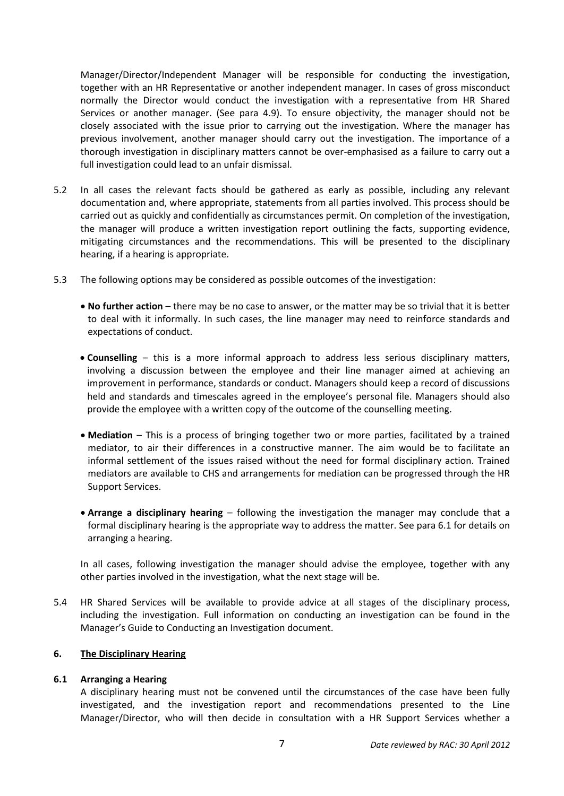Manager/Director/Independent Manager will be responsible for conducting the investigation, together with an HR Representative or another independent manager. In cases of gross misconduct normally the Director would conduct the investigation with a representative from HR Shared Services or another manager. (See para 4.9). To ensure objectivity, the manager should not be closely associated with the issue prior to carrying out the investigation. Where the manager has previous involvement, another manager should carry out the investigation. The importance of a thorough investigation in disciplinary matters cannot be over-emphasised as a failure to carry out a full investigation could lead to an unfair dismissal.

- 5.2 In all cases the relevant facts should be gathered as early as possible, including any relevant documentation and, where appropriate, statements from all parties involved. This process should be carried out as quickly and confidentially as circumstances permit. On completion of the investigation, the manager will produce a written investigation report outlining the facts, supporting evidence, mitigating circumstances and the recommendations. This will be presented to the disciplinary hearing, if a hearing is appropriate.
- 5.3 The following options may be considered as possible outcomes of the investigation:
	- **No further action** there may be no case to answer, or the matter may be so trivial that it is better to deal with it informally. In such cases, the line manager may need to reinforce standards and expectations of conduct.
	- **Counselling**  this is a more informal approach to address less serious disciplinary matters, involving a discussion between the employee and their line manager aimed at achieving an improvement in performance, standards or conduct. Managers should keep a record of discussions held and standards and timescales agreed in the employee's personal file. Managers should also provide the employee with a written copy of the outcome of the counselling meeting.
	- **Mediation** This is a process of bringing together two or more parties, facilitated by a trained mediator, to air their differences in a constructive manner. The aim would be to facilitate an informal settlement of the issues raised without the need for formal disciplinary action. Trained mediators are available to CHS and arrangements for mediation can be progressed through the HR Support Services.
	- **Arrange a disciplinary hearing** following the investigation the manager may conclude that a formal disciplinary hearing is the appropriate way to address the matter. See para 6.1 for details on arranging a hearing.

In all cases, following investigation the manager should advise the employee, together with any other parties involved in the investigation, what the next stage will be.

5.4 HR Shared Services will be available to provide advice at all stages of the disciplinary process, including the investigation. Full information on conducting an investigation can be found in the Manager's Guide to Conducting an Investigation document.

## **6. The Disciplinary Hearing**

### **6.1 Arranging a Hearing**

A disciplinary hearing must not be convened until the circumstances of the case have been fully investigated, and the investigation report and recommendations presented to the Line Manager/Director, who will then decide in consultation with a HR Support Services whether a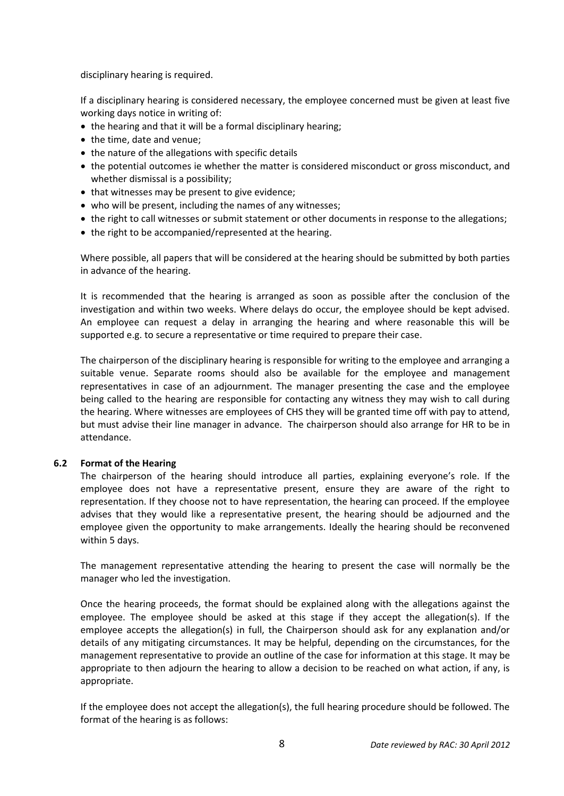disciplinary hearing is required.

If a disciplinary hearing is considered necessary, the employee concerned must be given at least five working days notice in writing of:

- the hearing and that it will be a formal disciplinary hearing;
- the time, date and venue;
- the nature of the allegations with specific details
- the potential outcomes ie whether the matter is considered misconduct or gross misconduct, and whether dismissal is a possibility;
- that witnesses may be present to give evidence;
- who will be present, including the names of any witnesses;
- the right to call witnesses or submit statement or other documents in response to the allegations;
- the right to be accompanied/represented at the hearing.

Where possible, all papers that will be considered at the hearing should be submitted by both parties in advance of the hearing.

It is recommended that the hearing is arranged as soon as possible after the conclusion of the investigation and within two weeks. Where delays do occur, the employee should be kept advised. An employee can request a delay in arranging the hearing and where reasonable this will be supported e.g. to secure a representative or time required to prepare their case.

The chairperson of the disciplinary hearing is responsible for writing to the employee and arranging a suitable venue. Separate rooms should also be available for the employee and management representatives in case of an adjournment. The manager presenting the case and the employee being called to the hearing are responsible for contacting any witness they may wish to call during the hearing. Where witnesses are employees of CHS they will be granted time off with pay to attend, but must advise their line manager in advance. The chairperson should also arrange for HR to be in attendance.

### **6.2 Format of the Hearing**

The chairperson of the hearing should introduce all parties, explaining everyone's role. If the employee does not have a representative present, ensure they are aware of the right to representation. If they choose not to have representation, the hearing can proceed. If the employee advises that they would like a representative present, the hearing should be adjourned and the employee given the opportunity to make arrangements. Ideally the hearing should be reconvened within 5 days.

The management representative attending the hearing to present the case will normally be the manager who led the investigation.

Once the hearing proceeds, the format should be explained along with the allegations against the employee. The employee should be asked at this stage if they accept the allegation(s). If the employee accepts the allegation(s) in full, the Chairperson should ask for any explanation and/or details of any mitigating circumstances. It may be helpful, depending on the circumstances, for the management representative to provide an outline of the case for information at this stage. It may be appropriate to then adjourn the hearing to allow a decision to be reached on what action, if any, is appropriate.

If the employee does not accept the allegation(s), the full hearing procedure should be followed. The format of the hearing is as follows: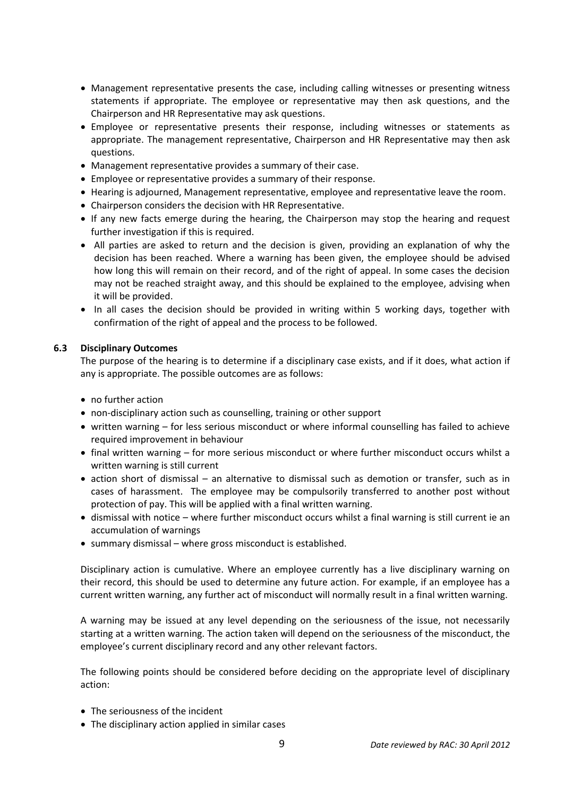- Management representative presents the case, including calling witnesses or presenting witness statements if appropriate. The employee or representative may then ask questions, and the Chairperson and HR Representative may ask questions.
- Employee or representative presents their response, including witnesses or statements as appropriate. The management representative, Chairperson and HR Representative may then ask questions.
- Management representative provides a summary of their case.
- Employee or representative provides a summary of their response.
- Hearing is adjourned, Management representative, employee and representative leave the room.
- Chairperson considers the decision with HR Representative.
- If any new facts emerge during the hearing, the Chairperson may stop the hearing and request further investigation if this is required.
- All parties are asked to return and the decision is given, providing an explanation of why the decision has been reached. Where a warning has been given, the employee should be advised how long this will remain on their record, and of the right of appeal. In some cases the decision may not be reached straight away, and this should be explained to the employee, advising when it will be provided.
- In all cases the decision should be provided in writing within 5 working days, together with confirmation of the right of appeal and the process to be followed.

### **6.3 Disciplinary Outcomes**

The purpose of the hearing is to determine if a disciplinary case exists, and if it does, what action if any is appropriate. The possible outcomes are as follows:

- no further action
- non-disciplinary action such as counselling, training or other support
- written warning for less serious misconduct or where informal counselling has failed to achieve required improvement in behaviour
- final written warning for more serious misconduct or where further misconduct occurs whilst a written warning is still current
- action short of dismissal an alternative to dismissal such as demotion or transfer, such as in cases of harassment. The employee may be compulsorily transferred to another post without protection of pay. This will be applied with a final written warning.
- dismissal with notice where further misconduct occurs whilst a final warning is still current ie an accumulation of warnings
- summary dismissal where gross misconduct is established.

Disciplinary action is cumulative. Where an employee currently has a live disciplinary warning on their record, this should be used to determine any future action. For example, if an employee has a current written warning, any further act of misconduct will normally result in a final written warning.

A warning may be issued at any level depending on the seriousness of the issue, not necessarily starting at a written warning. The action taken will depend on the seriousness of the misconduct, the employee's current disciplinary record and any other relevant factors.

The following points should be considered before deciding on the appropriate level of disciplinary action:

- The seriousness of the incident
- The disciplinary action applied in similar cases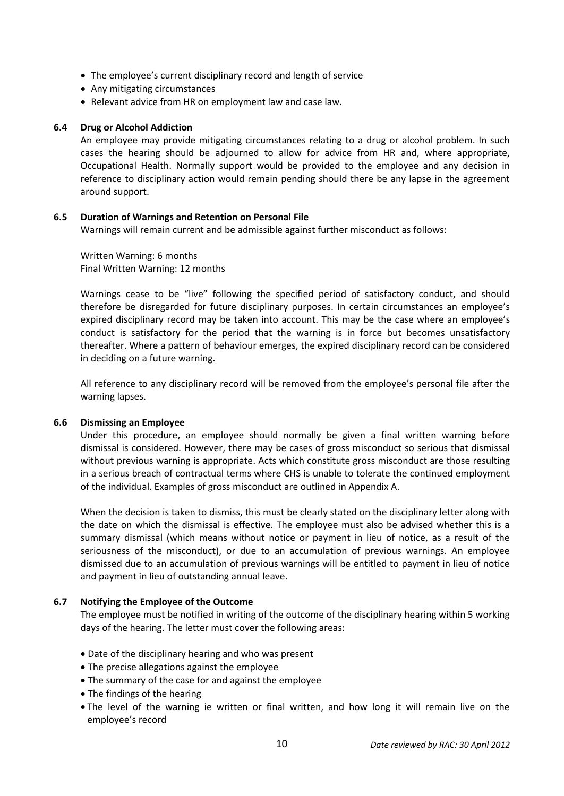- The employee's current disciplinary record and length of service
- Any mitigating circumstances
- Relevant advice from HR on employment law and case law.

### **6.4 Drug or Alcohol Addiction**

An employee may provide mitigating circumstances relating to a drug or alcohol problem. In such cases the hearing should be adjourned to allow for advice from HR and, where appropriate, Occupational Health. Normally support would be provided to the employee and any decision in reference to disciplinary action would remain pending should there be any lapse in the agreement around support.

### **6.5 Duration of Warnings and Retention on Personal File**

Warnings will remain current and be admissible against further misconduct as follows:

Written Warning: 6 months Final Written Warning: 12 months

Warnings cease to be "live" following the specified period of satisfactory conduct, and should therefore be disregarded for future disciplinary purposes. In certain circumstances an employee's expired disciplinary record may be taken into account. This may be the case where an employee's conduct is satisfactory for the period that the warning is in force but becomes unsatisfactory thereafter. Where a pattern of behaviour emerges, the expired disciplinary record can be considered in deciding on a future warning.

All reference to any disciplinary record will be removed from the employee's personal file after the warning lapses.

### **6.6 Dismissing an Employee**

Under this procedure, an employee should normally be given a final written warning before dismissal is considered. However, there may be cases of gross misconduct so serious that dismissal without previous warning is appropriate. Acts which constitute gross misconduct are those resulting in a serious breach of contractual terms where CHS is unable to tolerate the continued employment of the individual. Examples of gross misconduct are outlined in Appendix A.

When the decision is taken to dismiss, this must be clearly stated on the disciplinary letter along with the date on which the dismissal is effective. The employee must also be advised whether this is a summary dismissal (which means without notice or payment in lieu of notice, as a result of the seriousness of the misconduct), or due to an accumulation of previous warnings. An employee dismissed due to an accumulation of previous warnings will be entitled to payment in lieu of notice and payment in lieu of outstanding annual leave.

### **6.7 Notifying the Employee of the Outcome**

The employee must be notified in writing of the outcome of the disciplinary hearing within 5 working days of the hearing. The letter must cover the following areas:

- Date of the disciplinary hearing and who was present
- The precise allegations against the employee
- The summary of the case for and against the employee
- The findings of the hearing
- The level of the warning ie written or final written, and how long it will remain live on the employee's record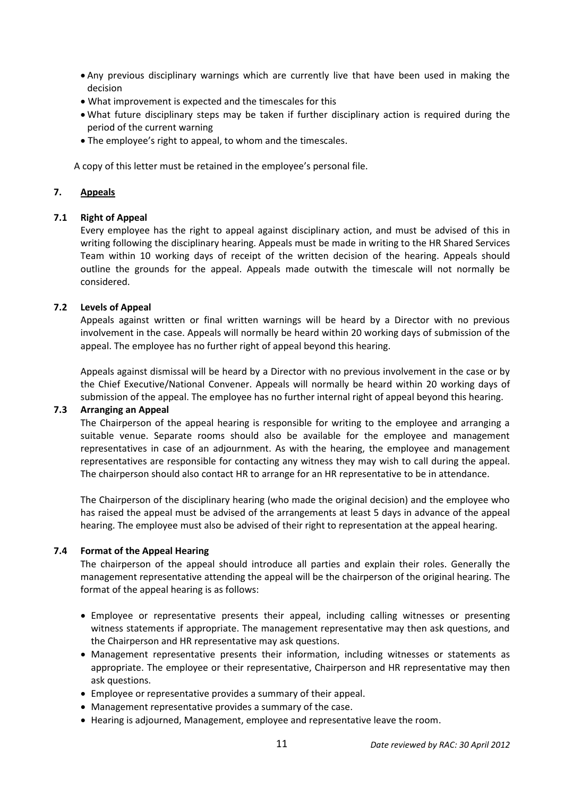- Any previous disciplinary warnings which are currently live that have been used in making the decision
- What improvement is expected and the timescales for this
- What future disciplinary steps may be taken if further disciplinary action is required during the period of the current warning
- The employee's right to appeal, to whom and the timescales.

A copy of this letter must be retained in the employee's personal file.

# **7. Appeals**

# **7.1 Right of Appeal**

Every employee has the right to appeal against disciplinary action, and must be advised of this in writing following the disciplinary hearing. Appeals must be made in writing to the HR Shared Services Team within 10 working days of receipt of the written decision of the hearing. Appeals should outline the grounds for the appeal. Appeals made outwith the timescale will not normally be considered.

# **7.2 Levels of Appeal**

Appeals against written or final written warnings will be heard by a Director with no previous involvement in the case. Appeals will normally be heard within 20 working days of submission of the appeal. The employee has no further right of appeal beyond this hearing.

Appeals against dismissal will be heard by a Director with no previous involvement in the case or by the Chief Executive/National Convener. Appeals will normally be heard within 20 working days of submission of the appeal. The employee has no further internal right of appeal beyond this hearing.

### **7.3 Arranging an Appeal**

The Chairperson of the appeal hearing is responsible for writing to the employee and arranging a suitable venue. Separate rooms should also be available for the employee and management representatives in case of an adjournment. As with the hearing, the employee and management representatives are responsible for contacting any witness they may wish to call during the appeal. The chairperson should also contact HR to arrange for an HR representative to be in attendance.

The Chairperson of the disciplinary hearing (who made the original decision) and the employee who has raised the appeal must be advised of the arrangements at least 5 days in advance of the appeal hearing. The employee must also be advised of their right to representation at the appeal hearing.

### **7.4 Format of the Appeal Hearing**

The chairperson of the appeal should introduce all parties and explain their roles. Generally the management representative attending the appeal will be the chairperson of the original hearing. The format of the appeal hearing is as follows:

- Employee or representative presents their appeal, including calling witnesses or presenting witness statements if appropriate. The management representative may then ask questions, and the Chairperson and HR representative may ask questions.
- Management representative presents their information, including witnesses or statements as appropriate. The employee or their representative, Chairperson and HR representative may then ask questions.
- Employee or representative provides a summary of their appeal.
- Management representative provides a summary of the case.
- Hearing is adjourned, Management, employee and representative leave the room.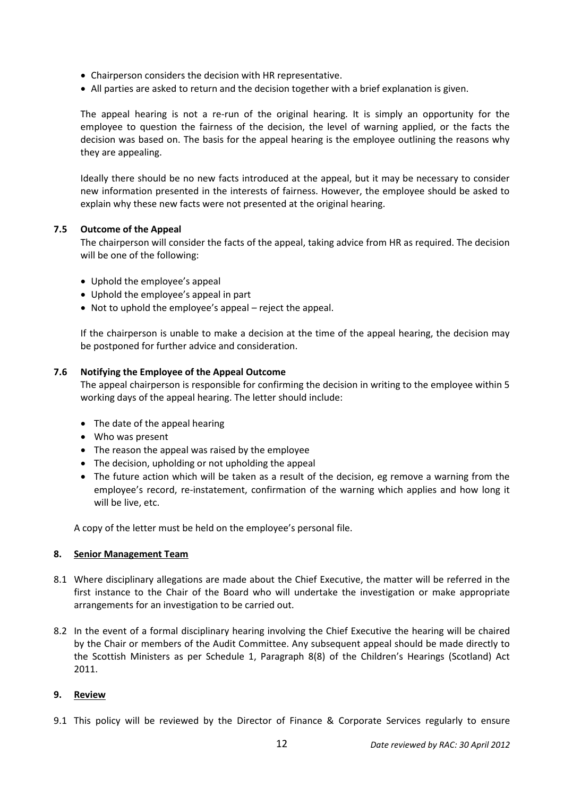- Chairperson considers the decision with HR representative.
- All parties are asked to return and the decision together with a brief explanation is given.

The appeal hearing is not a re-run of the original hearing. It is simply an opportunity for the employee to question the fairness of the decision, the level of warning applied, or the facts the decision was based on. The basis for the appeal hearing is the employee outlining the reasons why they are appealing.

Ideally there should be no new facts introduced at the appeal, but it may be necessary to consider new information presented in the interests of fairness. However, the employee should be asked to explain why these new facts were not presented at the original hearing.

### **7.5 Outcome of the Appeal**

The chairperson will consider the facts of the appeal, taking advice from HR as required. The decision will be one of the following:

- Uphold the employee's appeal
- Uphold the employee's appeal in part
- Not to uphold the employee's appeal reject the appeal.

If the chairperson is unable to make a decision at the time of the appeal hearing, the decision may be postponed for further advice and consideration.

# **7.6 Notifying the Employee of the Appeal Outcome**

The appeal chairperson is responsible for confirming the decision in writing to the employee within 5 working days of the appeal hearing. The letter should include:

- The date of the appeal hearing
- Who was present
- The reason the appeal was raised by the employee
- The decision, upholding or not upholding the appeal
- The future action which will be taken as a result of the decision, eg remove a warning from the employee's record, re-instatement, confirmation of the warning which applies and how long it will be live, etc.

A copy of the letter must be held on the employee's personal file.

### **8. Senior Management Team**

- 8.1 Where disciplinary allegations are made about the Chief Executive, the matter will be referred in the first instance to the Chair of the Board who will undertake the investigation or make appropriate arrangements for an investigation to be carried out.
- 8.2 In the event of a formal disciplinary hearing involving the Chief Executive the hearing will be chaired by the Chair or members of the Audit Committee. Any subsequent appeal should be made directly to the Scottish Ministers as per Schedule 1, Paragraph 8(8) of the Children's Hearings (Scotland) Act 2011.

### **9. Review**

9.1 This policy will be reviewed by the Director of Finance & Corporate Services regularly to ensure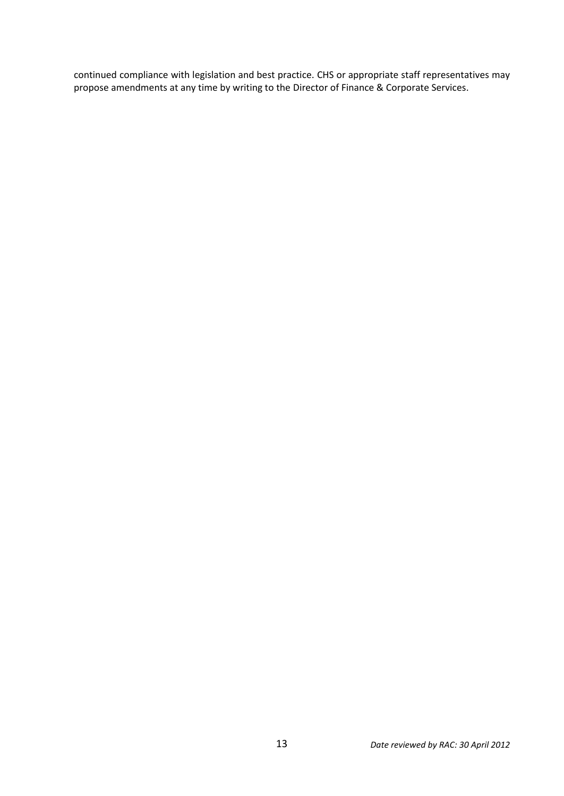continued compliance with legislation and best practice. CHS or appropriate staff representatives may propose amendments at any time by writing to the Director of Finance & Corporate Services.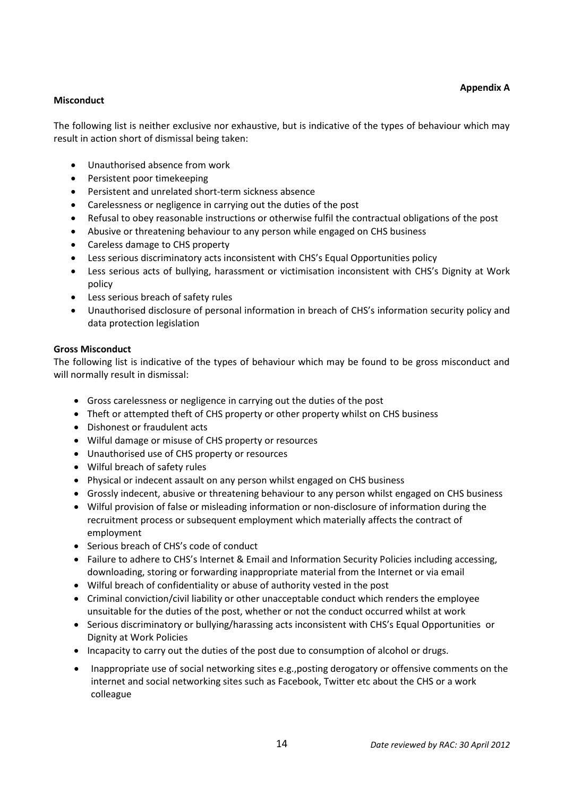# **Misconduct**

The following list is neither exclusive nor exhaustive, but is indicative of the types of behaviour which may result in action short of dismissal being taken:

- Unauthorised absence from work
- Persistent poor timekeeping
- Persistent and unrelated short-term sickness absence
- Carelessness or negligence in carrying out the duties of the post
- Refusal to obey reasonable instructions or otherwise fulfil the contractual obligations of the post
- Abusive or threatening behaviour to any person while engaged on CHS business
- Careless damage to CHS property
- Less serious discriminatory acts inconsistent with CHS's Equal Opportunities policy
- Less serious acts of bullying, harassment or victimisation inconsistent with CHS's Dignity at Work policy
- Less serious breach of safety rules
- Unauthorised disclosure of personal information in breach of CHS's information security policy and data protection legislation

#### **Gross Misconduct**

The following list is indicative of the types of behaviour which may be found to be gross misconduct and will normally result in dismissal:

- Gross carelessness or negligence in carrying out the duties of the post
- Theft or attempted theft of CHS property or other property whilst on CHS business
- Dishonest or fraudulent acts
- Wilful damage or misuse of CHS property or resources
- Unauthorised use of CHS property or resources
- Wilful breach of safety rules
- Physical or indecent assault on any person whilst engaged on CHS business
- Grossly indecent, abusive or threatening behaviour to any person whilst engaged on CHS business
- Wilful provision of false or misleading information or non-disclosure of information during the recruitment process or subsequent employment which materially affects the contract of employment
- Serious breach of CHS's code of conduct
- Failure to adhere to CHS's Internet & Email and Information Security Policies including accessing, downloading, storing or forwarding inappropriate material from the Internet or via email
- Wilful breach of confidentiality or abuse of authority vested in the post
- Criminal conviction/civil liability or other unacceptable conduct which renders the employee unsuitable for the duties of the post, whether or not the conduct occurred whilst at work
- Serious discriminatory or bullying/harassing acts inconsistent with CHS's Equal Opportunities or Dignity at Work Policies
- Incapacity to carry out the duties of the post due to consumption of alcohol or drugs.
- Inappropriate use of social networking sites e.g., posting derogatory or offensive comments on the internet and social networking sites such as Facebook, Twitter etc about the CHS or a work colleague